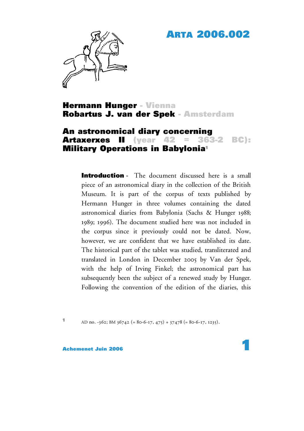# **ARTA 2006.002**



## **Hermann Hunger - Vienna Robartus J. van der Spek - Amsterdam**

## **An astronomical diary concerning Artaxerxes II (year 42 = 363-2 BC): Military Operations in Babylonia1**

**Introduction** - The document discussed here is a small piece of an astronomical diary in the collection of the British Museum. It is part of the corpus of texts published by Hermann Hunger in three volumes containing the dated astronomical diaries from Babylonia (Sachs & Hunger 1988; 1989; 1996). The document studied here was not included in the corpus since it previously could not be dated. Now, however, we are confident that we have established its date. The historical part of the tablet was studied, transliterated and translated in London in December 2005 by Van der Spek, with the help of Irving Finkel; the astronomical part has subsequently been the subject of a renewed study by Hunger. Following the convention of the edition of the diaries, this

**1** AD no. -362; BM  $36742$  (= 80-6-17, 475) + 37478 (= 80-6-17, 1235).

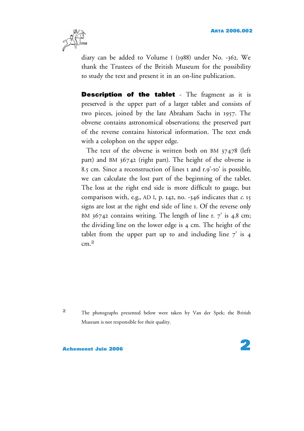

diary can be added to Volume I (1988) under No. -362. We thank the Trustees of the British Museum for the possibility to study the text and present it in an on-line publication.

**Description of the tablet** - The fragment as it is preserved is the upper part of a larger tablet and consists of two pieces, joined by the late Abraham Sachs in 1957. The obverse contains astronomical observations; the preserved part of the reverse contains historical information. The text ends with a colophon on the upper edge.

The text of the obverse is written both on BM 37478 (left part) and BM 36742 (right part). The height of the obverse is 8.5 cm. Since a reconstruction of lines 1 and r.9'-10' is possible, we can calculate the lost part of the beginning of the tablet. The loss at the right end side is more difficult to gauge, but comparison with, e.g., AD I, p. 142, no. -346 indicates that *c*. 15 signs are lost at the right end side of line 1. Of the reverse only BM  $36742$  contains writing. The length of line r.  $7'$  is 4.8 cm; the dividing line on the lower edge is 4 cm. The height of the tablet from the upper part up to and including line  $7'$  is 4 cm. **2**

**<sup>2</sup>** The photographs presented below were taken by Van der Spek; the British Museum is not responsible for their quality.

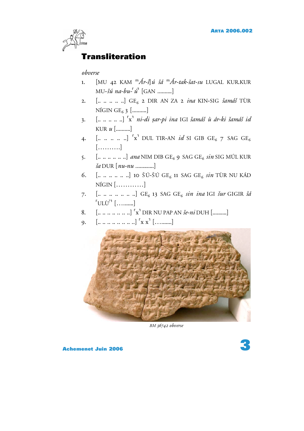

# **Transliteration**

### *obverse*

- 1. [MU 42 KAM <sup>m</sup>Ár-š]*ú šá* <sup>m</sup>Ár-tak-šat-su LUGAL KUR.KUR MU-*⌃ú na-bu-*˹*ú*˺ [GAN ..........]
- 2. [.. .. .. .. ..] GE<sub>6</sub> 2 DIR AN ZA 2 *ina* KIN-SIG *šamáš* TÙR  $NÍGIN GE<sub>6</sub> 3$  [..........]
- 3. [.. .. .. .. ..] ˹x˺ *ni-di* <sup>p</sup>*ar-pi ina* IGI *⌃amá⌃ ù ár-ki ⌃amá⌃ id* KUR *u* [..........]
- 4.  $\left[ ... ... ... ... \right]$   $\left[ x \right]$  DUL TIR-AN *id* SI GIB GE<sub>6</sub> 7 SAG GE<sub>6</sub> [……….]
- 5. [.. .. .. .. ...] *ana* NIM DIB GE<sub>6</sub> 9 SAG GE<sub>6</sub> *sin* SIG MÚL KUR *⌃a* DUR [*nu-nu* .............]
- 6.  $\left[\dots \dots \dots \dots \right]$  10 ŠÚ-ŠÚ GE<sub>6</sub> 11 SAG GE<sub>6</sub> *sin* TÙR NU KÁD NÍGIN […………]
- 7. [...........] GE<sub>6</sub> 13 SAG GE<sub>6</sub> *sin ina* IGI *šur* GIGIR *šá* ˹ULÙ? ˺ [….......]
- 8. [.. .. .. .. .. .. ..] ˹x˺ DIR NU PAP AN *⌃e-ni* DUH [..........]
- 9.  $[\dots \dots \dots \dots \dots]$   $x^1$   $[\dots \dots \dots]$



*BM 36742 obverse*

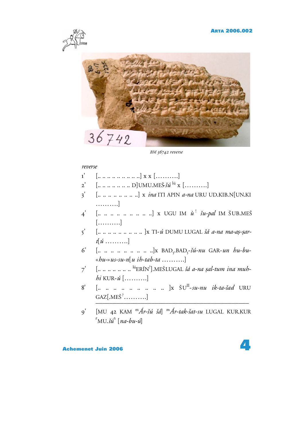

*BM 36742 reverse*

#### *reverse*

- 1'  $\left[ ... \, ... \, ... \, ... \, ... \, \right]$  x x  $\left[ ... \, ... \, \right]$
- $2'$  [.. .. .. .. .. .. D]UMU.MEŠ $\check{s}\check{u}^{l\dot{u}}$  x [.........]
- 3' [.. .. .. .. .. .. .. ..] x *ina* ITI APIN *a-na* URU UD.KIB.N[UN.KI ……….]
- 4' [.. .. .. .. .. .. .. .. ..] x UGU IM *ù* ! *⌃u-pal* IM ⇧ UB.ME⇧ [……….]
- 5' [.. .. .. .. .. .. .. .. .. ]x TI-*ú* DUMU LUGAL *⌃á a-na ma-a*p*-*p*art*[*ú* ……….]
- 6' [.. .. .. .. .. .. .. .. ..]x BAD5.BAD5-*⌃ú-nu* GAR-*un hu-bu-* «*hu-*»*us-su-n*[*u ih-tab-ta* ……….]
- 7' [.. .. .. .. .. .. <sup>|ú</sup>ERÍN<sup>?</sup>].MEŠLUGAL *šá a-na ṣal-tum ina muhhi* KUR-*ú* [……….]
- 8' [.. .. .. .. .. .. .. .. ]x ŠU<sup>II</sup>-su-nu *ik-ta-šad* URU GAZ[.ME⇧ ? ……….] ––––––––––––––––––––––––––––––––––––––––––––
- 9' [MU 42 KAM <sup>m</sup>*Ár-⌃ú ⌃á*] <sup>m</sup>*Ár-tak-⌃at-su* LUGAL KUR.KUR  $\lceil MU.\check{3} \mathbf{\hat{u}}^{\dagger} \rceil$  [na-bu- $\mathbf{\hat{u}}$ ]

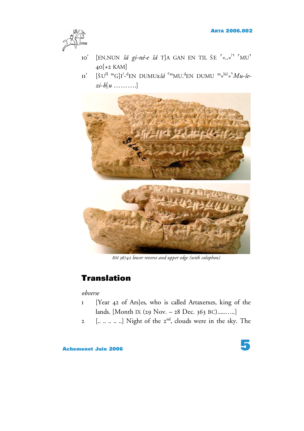

- 10' [EN.NUN *šá gi-né-e šá* T]A GAN EN TIL ŠE 「«..»<sup>?」</sup>「MU<sup>」</sup> 40[+2 KAM]
- 11' [ŠU<sup>II m</sup>G]I<sup>?</sup>-<sup>d</sup>EN DUMUx*šá* <sup>rm</sup>MU.<sup>d</sup>EN DUMU <sup>m</sup>«<sup>lú?</sup>»<sup>3</sup>*Mu-šezi-b*[*u* ……….]



*BM 36742 lower reverse and upper edge (with colophon)*

# **Translation**

## *obverse*

- 1 [Year 42 of Ars]es, who is called Artaxerxes, king of the lands. [Month IX (29 Nov. – 28 Dec. 363 BC).....…..]
- 2  $\left[......... \right]$  Night of the  $2^{nd}$ , clouds were in the sky. The

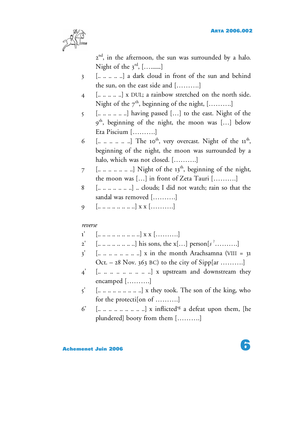

2<sup>nd</sup>, in the afternoon, the sun was surrounded by a halo. Night of the 3<sup>rd</sup>, [………]

- 3 [.. .. .. .. ..] a dark cloud in front of the sun and behind the sun, on the east side and [……….]
- 4 [.. .. .. .. ..] x DUL; a rainbow stretched on the north side. Night of the  $7^{\text{th}}$ , beginning of the night, [..........]
- $\mathbf{5}$  [........] having passed [...] to the east. Night of the  $9^{\text{th}}$ , beginning of the night, the moon was  $[...]$  below Eta Piscium [……….]
- 6 [.........] The 10<sup>th</sup>, very overcast. Night of the  $11<sup>th</sup>$ , beginning of the night, the moon was surrounded by a halo, which was not closed. [……….]
- $7$  [.........] Night of the 13<sup>th</sup>, beginning of the night, the moon was […] in front of Zeta Tauri [……….]
- 8  $\left[............... \right]$  clouds; I did not watch; rain so that the sandal was removed [……….]
- 9  $\left[...............x\right]$  x x  $\left[......... \right]$

#### *reverse*

- $1'$  [.. .. .. .. .. .. .. ..]  $X X$  [............]
- 2' [.. .. .. .. .. .. .. ..] his sons, the x[…] person[*s* ? ……….]
- $3'$  [..............] x in the month Arachsamna (VIII = 31) Oct.  $-28$  Nov. 363 BC) to the city of Sipp[ar .........]
- $4'$  [...............] x upstream and downstream they encamped [……….]
- $5'$  [... .. .. .. ... ... ...] x they took. The son of the king, who for the protecti[on of ……….]
- $6'$  [.............] x inflicted<sup>sg</sup> a defeat upon them, [he plundered] booty from them [……….]

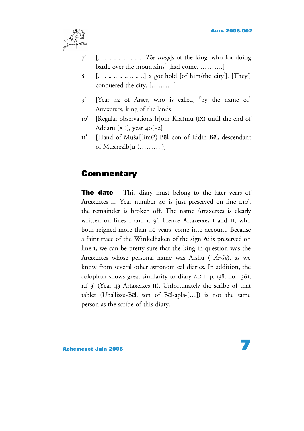

- 7' [.. .. .. .. .. .. .. .. .. *The troop*]s of the king, who for doing battle over the mountains ? [had come, ……….]
- 8' [.. .. .. .. .. .. ..] x got hold [of him/the city<sup>2</sup>]. [They<sup>2</sup>] conquered the city.  $[\ldots, \ldots, \ldots]$
- 9' [Year 42 of Arses, who is called] <sup>"</sup>by the name of" Artaxerxes, king of the lands.
- 10' [Regular observations fr]om Kislimu (IX) until the end of Addaru (XII), year  $40[+2]$
- 11' [Hand of Mu⌃al]lim(?)-Bēl, son of Iddin-Bēl, descendant of Mushezib[u (……….)]

# **Commentary**

**The date** - This diary must belong to the later years of Artaxerxes II. Year number 40 is just preserved on line r.10', the remainder is broken off. The name Artaxerxes is clearly written on lines 1 and r. 9'. Hence Artaxerxes I and II, who both reigned more than 40 years, come into account. Because a faint trace of the Winkelhaken of the sign *šú* is preserved on line 1, we can be pretty sure that the king in question was the Artaxerxes whose personal name was Arshu ("'Á*r-šú*), as we know from several other astronomical diaries. In addition, the colophon shows great similarity to diary AD I, p. 138, no. -361, r.1'-3' (Year 43 Artaxerxes II). Unfortunately the scribe of that tablet (Uballissu-Bel, son of Bel-apla-[…]) is not the same person as the scribe of this diary.

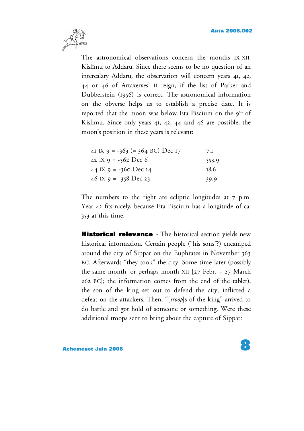

The astronomical observations concern the months IX-XII, Kislimu to Addaru. Since there seems to be no question of an intercalary Addaru, the observation will concern years 41, 42, 44 or 46 of Artaxerxes' II reign, if the list of Parker and Dubberstein (1956) is correct. The astronomical information on the obverse helps us to establish a precise date. It is reported that the moon was below Eta Piscium on the  $9<sup>th</sup>$  of Kislimu. Since only years 41, 42, 44 and 46 are possible, the moon's position in these years is relevant:

| 41 IX 9 = -363 (= 364 BC) Dec 17 | 7.1   |
|----------------------------------|-------|
| 42 IX 9 = -362 Dec 6             | 353.9 |
| 44 IX 9 = -360 Dec 14            | 18.6  |
| 46 IX 9 = -358 Dec 23            | 39.9  |

The numbers to the right are ecliptic longitudes at  $7$  p.m. Year 42 fits nicely, because Eta Piscium has a longitude of ca. 353 at this time.

**Historical relevance** *-* The historical section yields new historical information. Certain people ("his sons"?) encamped around the city of Sippar on the Euphrates in November 363 BC. Afterwards "they took" the city. Some time later (possibly the same month, or perhaps month XII  $[27 \text{ Febr.} - 27 \text{ March}$ 262 BC]; the information comes from the end of the tablet), the son of the king set out to defend the city, inflicted a defeat on the attackers. Then, "[*troop*]s of the king" arrived to do battle and got hold of someone or something. Were these additional troops sent to bring about the capture of Sippar?

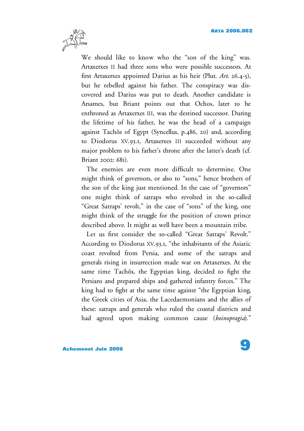

We should like to know who the "son of the king" was. Artaxerxes II had three sons who were possible successors. At first Artaxerxes appointed Darius as his heir (Plut. *Art*. 26.4-5), but he rebelled against his father. The conspiracy was discovered and Darius was put to death. Another candidate is Arsames, but Briant points out that Ochos, later to be enthroned as Artaxerxes III, was the destined successor. During the lifetime of his father, he was the head of a campaign against Tachôs of Egypt (Syncellus, p.486, 20) and, according to Diodorus XV.93.1, Artaxerxes III succeeded without any major problem to his father's throne after the latter's death (cf. Briant 2002: 681).

The enemies are even more difficult to determine. One might think of governors, or also to "sons," hence brothers of the son of the king just mentioned. In the case of "governors" one might think of satraps who revolted in the so-called "Great Satraps' revolt," in the case of "sons" of the king, one might think of the struggle for the position of crown prince described above. It might as well have been a mountain tribe.

Let us first consider the so-called "Great Satraps' Revolt." According to Diodorus XV.93.1, "the inhabitants of the Asiatic coast revolted from Persia, and some of the satraps and generals rising in insurrection made war on Artaxerxes. At the same time Tachôs, the Egyptian king, decided to fight the Persians and prepared ships and gathered infantry forces." The king had to fight at the same time against "the Egyptian king, the Greek cities of Asia, the Lacedaemonians and the allies of these: satraps and generals who ruled the coastal districts and had agreed upon making common cause (*koinopragia*)."

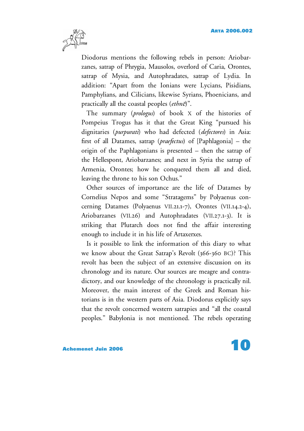

Diodorus mentions the following rebels in person: Ariobarzanes, satrap of Phrygia, Mausolos, overlord of Caria, Orontes, satrap of Mysia, and Autophradates, satrap of Lydia. In addition: "Apart from the Ionians were Lycians, Pisidians, Pamphylians, and Cilicians, likewise Syrians, Phoenicians, and practically all the coastal peoples (*ethn*e)".

The summary (*prologus*) of book X of the histories of Pompeius Trogus has it that the Great King "pursued his dignitaries (*purpurati*) who had defected (*defectores*) in Asia: first of all Datames, satrap (*praefectus*) of [Paphlagonia] – the origin of the Paphlagonians is presented – then the satrap of the Hellespont, Ariobarzanes; and next in Syria the satrap of Armenia, Orontes; how he conquered them all and died, leaving the throne to his son Ochus."

Other sources of importance are the life of Datames by Cornelius Nepos and some "Stratagems" by Polyaenus concerning Datames (Polyaenus VII.21.1-7), Orontes (VII.14.2-4), Ariobarzanes (VII.26) and Autophradates (VII.27.1-3). It is striking that Plutarch does not find the affair interesting enough to include it in his life of Artaxerxes.

Is it possible to link the information of this diary to what we know about the Great Satrap's Revolt (366-360 BC)? This revolt has been the subject of an extensive discussion on its chronology and its nature. Our sources are meagre and contradictory, and our knowledge of the chronology is practically nil. Moreover, the main interest of the Greek and Roman historians is in the western parts of Asia. Diodorus explicitly says that the revolt concerned western satrapies and "all the coastal peoples." Babylonia is not mentioned. The rebels operating

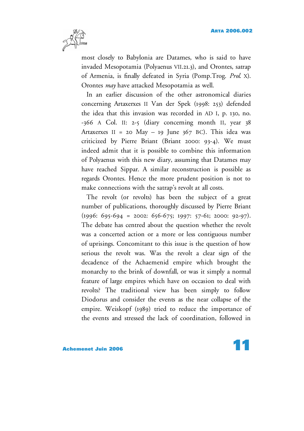

most closely to Babylonia are Datames, who is said to have invaded Mesopotamia (Polyaenus VII.21.3), and Orontes, satrap of Armenia, is finally defeated in Syria (Pomp.Trog. *Prol.* X). Orontes *may* have attacked Mesopotamia as well.

In an earlier discussion of the other astronomical diaries concerning Artaxerxes II Van der Spek (1998: 253) defended the idea that this invasion was recorded in AD I, p. 130, no. -366 A Col. II: 2-5 (diary concerning month II, year 38 Artaxerxes II = 20 May - 19 June  $367$  BC). This idea was criticized by Pierre Briant (Briant 2000: 93-4). We must indeed admit that it is possible to combine this information of Polyaenus with this new diary, assuming that Datames may have reached Sippar. A similar reconstruction is possible as regards Orontes. Hence the more prudent position is not to make connections with the satrap's revolt at all costs.

The revolt (or revolts) has been the subject of a great number of publications, thoroughly discussed by Pierre Briant  $(1996: 695-694 = 2002: 656-675; 1997: 57-61; 2000: 92-97).$ The debate has centred about the question whether the revolt was a concerted action or a more or less contiguous number of uprisings. Concomitant to this issue is the question of how serious the revolt was. Was the revolt a clear sign of the decadence of the Achaemenid empire which brought the monarchy to the brink of downfall, or was it simply a normal feature of large empires which have on occasion to deal with revolts? The traditional view has been simply to follow Diodorus and consider the events as the near collapse of the empire. Weiskopf (1989) tried to reduce the importance of the events and stressed the lack of coordination, followed in

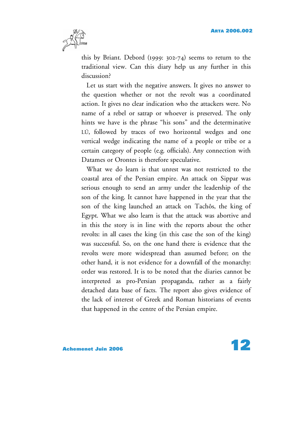

this by Briant. Debord (1999: 302-74) seems to return to the traditional view. Can this diary help us any further in this discussion?

Let us start with the negative answers. It gives no answer to the question whether or not the revolt was a coordinated action. It gives no clear indication who the attackers were. No name of a rebel or satrap or whoever is preserved. The only hints we have is the phrase "his sons" and the determinative LÚ, followed by traces of two horizontal wedges and one vertical wedge indicating the name of a people or tribe or a certain category of people (e.g. officials). Any connection with Datames or Orontes is therefore speculative.

What we do learn is that unrest was not restricted to the coastal area of the Persian empire. An attack on Sippar was serious enough to send an army under the leadership of the son of the king. It cannot have happened in the year that the son of the king launched an attack on Tachôs, the king of Egypt. What we also learn is that the attack was abortive and in this the story is in line with the reports about the other revolts: in all cases the king (in this case the son of the king) was successful. So, on the one hand there is evidence that the revolts were more widespread than assumed before; on the other hand, it is not evidence for a downfall of the monarchy: order was restored. It is to be noted that the diaries cannot be interpreted as pro-Persian propaganda, rather as a fairly detached data base of facts. The report also gives evidence of the lack of interest of Greek and Roman historians of events that happened in the centre of the Persian empire.

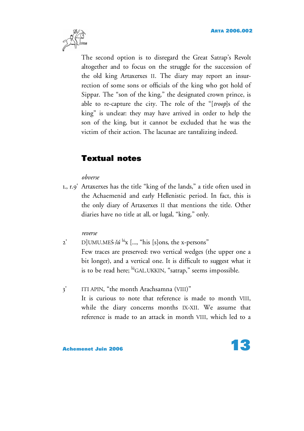

The second option is to disregard the Great Satrap's Revolt altogether and to focus on the struggle for the succession of the old king Artaxerxes II. The diary may report an insurrection of some sons or officials of the king who got hold of Sippar. The "son of the king," the designated crown prince, is able to re-capture the city. The role of the "[*troop*]s of the king" is unclear: they may have arrived in order to help the son of the king, but it cannot be excluded that he was the victim of their action. The lacunae are tantalizing indeed.

# **Textual notes**

### *obverse*

1., r.9' Artaxerxes has the title "king of the lands," a title often used in the Achaemenid and early Hellenistic period. In fact, this is the only diary of Artaxerxes II that mentions the title. Other diaries have no title at all, or lugal, "king," only.

### *reverse*

- 2' D]UMU.MEŠ šú <sup>lú</sup>x [..., "his [s]ons, the x-persons" Few traces are preserved: two vertical wedges (the upper one a bit longer), and a vertical one. It is difficult to suggest what it is to be read here; <sup>lú</sup>GAL.UKKIN, "satrap," seems impossible.
- 3' ITI APIN, "the month Arachsamna (VIII)" It is curious to note that reference is made to month VIII, while the diary concerns months IX-XII. We assume that reference is made to an attack in month VIII, which led to a

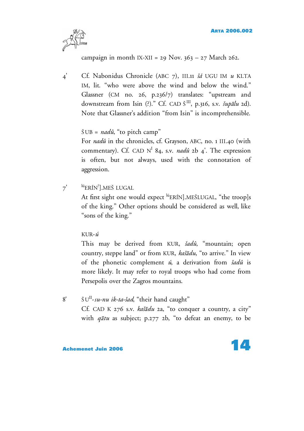

campaign in month IX-XII = 29 Nov.  $363 - 27$  March 262.

4' Cf. Nabonidus Chronicle (ABC 7), III.11 *⌃á* UGU IM *u* KI.TA IM, lit. "who were above the wind and below the wind." Glassner (CM no. 26, p.236/7) translates: "upstream and downstream from Isin (?)." Cf. CAD Š<sup>III</sup>, p.316, s.v. *šupālu* 2d). Note that Glassner's addition "from Isin" is incomprehensible.

## $\text{SUB} = \text{nad}\hat{u}$ , "to pitch camp"

For *nadû* in the chronicles, cf. Grayson, ABC, no. 1 III.40 (with commentary). Cf. CAD N<sup>I</sup> 84, s.v. *nadû* 2b 4<sup>'</sup>. The expression is often, but not always, used with the connotation of aggression.

 $7'$ ERÍN<sup>?</sup>].MEŠ LUGAL At first sight one would expect <sup>lú</sup>ERÍN].MEŠLUGAL, "the troop]s of the king." Other options should be considered as well, like "sons of the king."

### KUR-*ú*

This may be derived from KUR, *šadû*, "mountain; open country, steppe land" or from KUR, *kašādu*, "to arrive." In view of the phonetic complement *ú*, a derivation from *⌃adû* is more likely. It may refer to royal troops who had come from Persepolis over the Zagros mountains.

8' SU<sup>II</sup>-su-nu ik-ta-šad, "their hand caught" Cf. CAD K 276 s.v. *kašādu* 2a, "to conquer a country, a city" with *q*a*tu* as subject; p.277 2b, "to defeat an enemy, to be

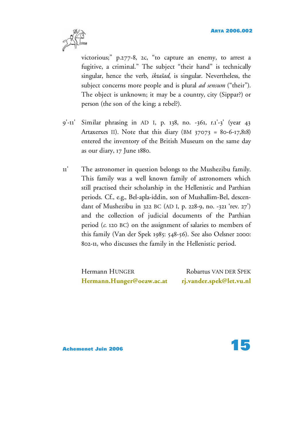

victorious;" p.277-8, 2c, "to capture an enemy, to arrest a fugitive, a criminal." The subject "their hand" is technically singular, hence the verb, *iktašad*, is singular. Nevertheless, the subject concerns more people and is plural *ad sensum* ("their"). The object is unknown; it may be a country, city (Sippar?) or person (the son of the king; a rebel?).

- 9'-11' Similar phrasing in AD I, p. 138, no. -361, r.1'-3' (year 43 Artaxerxes II). Note that this diary  $(BM 37073 = 80-6-17,818)$ entered the inventory of the British Museum on the same day as our diary, 17 June 1880.
- 11' The astronomer in question belongs to the Mushezibu family. This family was a well known family of astronomers which still practised their scholarship in the Hellenistic and Parthian periods. Cf., e.g., Bel-apla-iddin, son of Mushallim-Bel, descendant of Mushezibu in 322 BC (AD I, p. 228-9, no. -321 'rev. 27') and the collection of judicial documents of the Parthian period (*c*. 120 BC) on the assignment of salaries to members of this family (Van der Spek 1985: 548-56). See also Oelsner 2000: 802-11, who discusses the family in the Hellenistic period.

Hermann HUNGER Robartus VAN DER SPEK **[Hermann.Hunger@oeaw.ac.at](mailto:Hermann.Hunger@oeaw.ac.at) [rj.vander.spek@let.vu.nl](mailto:rj.vander.spek@let.vu.nl)**